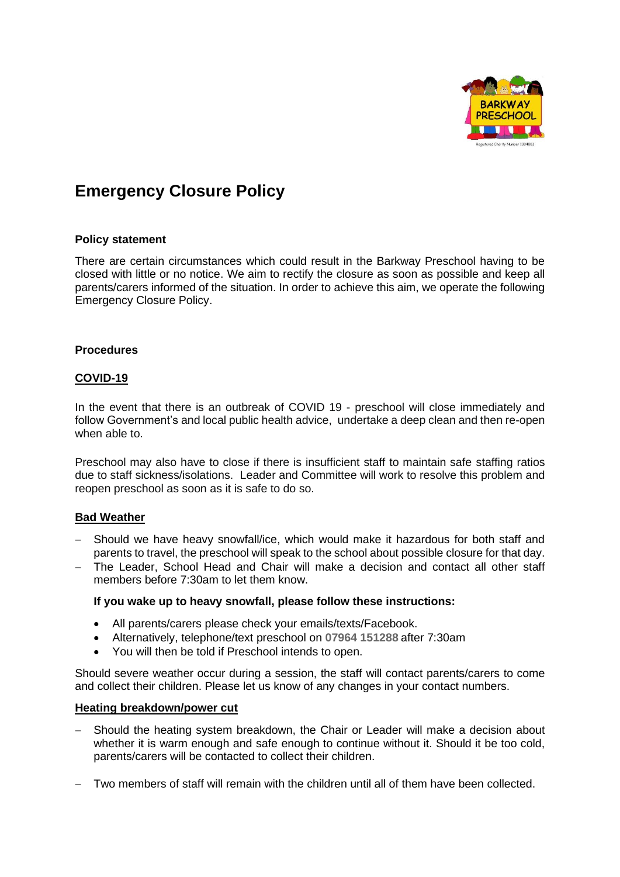

# **Emergency Closure Policy**

### **Policy statement**

There are certain circumstances which could result in the Barkway Preschool having to be closed with little or no notice. We aim to rectify the closure as soon as possible and keep all parents/carers informed of the situation. In order to achieve this aim, we operate the following Emergency Closure Policy.

### **Procedures**

# **COVID-19**

In the event that there is an outbreak of COVID 19 - preschool will close immediately and follow Government's and local public health advice, undertake a deep clean and then re-open when able to.

Preschool may also have to close if there is insufficient staff to maintain safe staffing ratios due to staff sickness/isolations. Leader and Committee will work to resolve this problem and reopen preschool as soon as it is safe to do so.

# **Bad Weather**

- − Should we have heavy snowfall/ice, which would make it hazardous for both staff and parents to travel, the preschool will speak to the school about possible closure for that day.
- − The Leader, School Head and Chair will make a decision and contact all other staff members before 7:30am to let them know.

#### **If you wake up to heavy snowfall, please follow these instructions:**

- All parents/carers please check your emails/texts/Facebook.
- Alternatively, telephone/text preschool on **07964 151288** after 7:30am
- You will then be told if Preschool intends to open.

Should severe weather occur during a session, the staff will contact parents/carers to come and collect their children. Please let us know of any changes in your contact numbers.

#### **Heating breakdown/power cut**

- Should the heating system breakdown, the Chair or Leader will make a decision about whether it is warm enough and safe enough to continue without it. Should it be too cold, parents/carers will be contacted to collect their children.
- − Two members of staff will remain with the children until all of them have been collected.